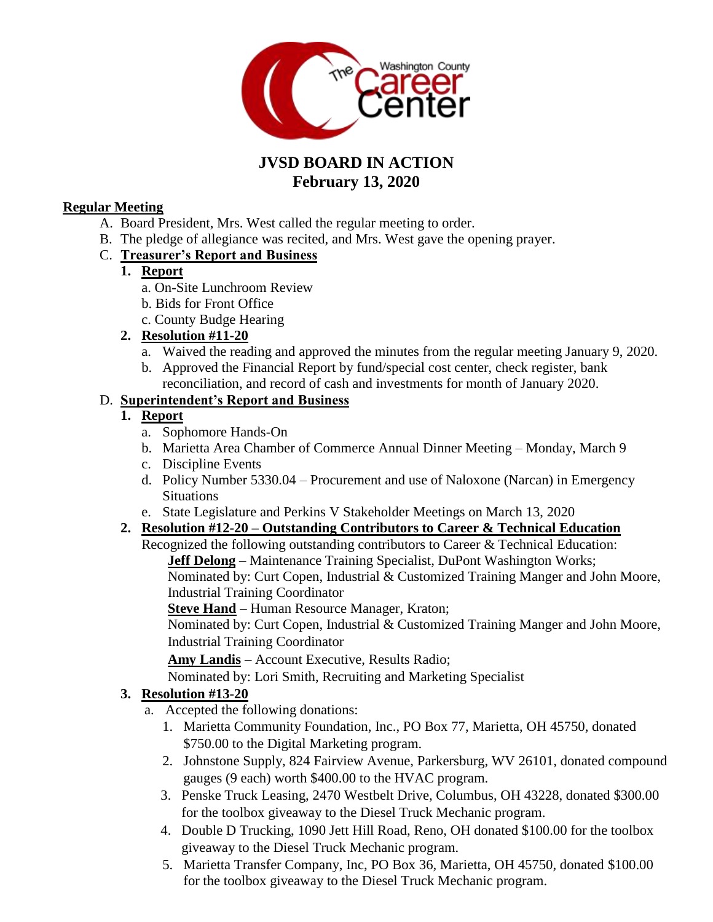

# **JVSD BOARD IN ACTION February 13, 2020**

#### **Regular Meeting**

- A. Board President, Mrs. West called the regular meeting to order.
- B. The pledge of allegiance was recited, and Mrs. West gave the opening prayer.

#### C. **Treasurer's Report and Business**

#### **1. Report**

- a. On-Site Lunchroom Review
- b. Bids for Front Office
- c. County Budge Hearing

## **2. Resolution #11-20**

- a. Waived the reading and approved the minutes from the regular meeting January 9, 2020.
- b. Approved the Financial Report by fund/special cost center, check register, bank reconciliation, and record of cash and investments for month of January 2020.

## D. **Superintendent's Report and Business**

## **1. Report**

- a. Sophomore Hands-On
- b. Marietta Area Chamber of Commerce Annual Dinner Meeting Monday, March 9
- c. Discipline Events
- d. Policy Number 5330.04 Procurement and use of Naloxone (Narcan) in Emergency **Situations**
- e. State Legislature and Perkins V Stakeholder Meetings on March 13, 2020

## **2. Resolution #12-20 – Outstanding Contributors to Career & Technical Education**

Recognized the following outstanding contributors to Career & Technical Education:

**Jeff Delong** – Maintenance Training Specialist, DuPont Washington Works; Nominated by: Curt Copen, Industrial & Customized Training Manger and John Moore, Industrial Training Coordinator

**Steve Hand** – Human Resource Manager, Kraton;

Nominated by: Curt Copen, Industrial & Customized Training Manger and John Moore, Industrial Training Coordinator

**Amy Landis** – Account Executive, Results Radio;

Nominated by: Lori Smith, Recruiting and Marketing Specialist

## **3. Resolution #13-20**

- a. Accepted the following donations:
	- 1. Marietta Community Foundation, Inc., PO Box 77, Marietta, OH 45750, donated \$750.00 to the Digital Marketing program.
	- 2. Johnstone Supply, 824 Fairview Avenue, Parkersburg, WV 26101, donated compound gauges (9 each) worth \$400.00 to the HVAC program.
	- 3. Penske Truck Leasing, 2470 Westbelt Drive, Columbus, OH 43228, donated \$300.00 for the toolbox giveaway to the Diesel Truck Mechanic program.
	- 4. Double D Trucking, 1090 Jett Hill Road, Reno, OH donated \$100.00 for the toolbox giveaway to the Diesel Truck Mechanic program.
	- 5. Marietta Transfer Company, Inc, PO Box 36, Marietta, OH 45750, donated \$100.00 for the toolbox giveaway to the Diesel Truck Mechanic program.